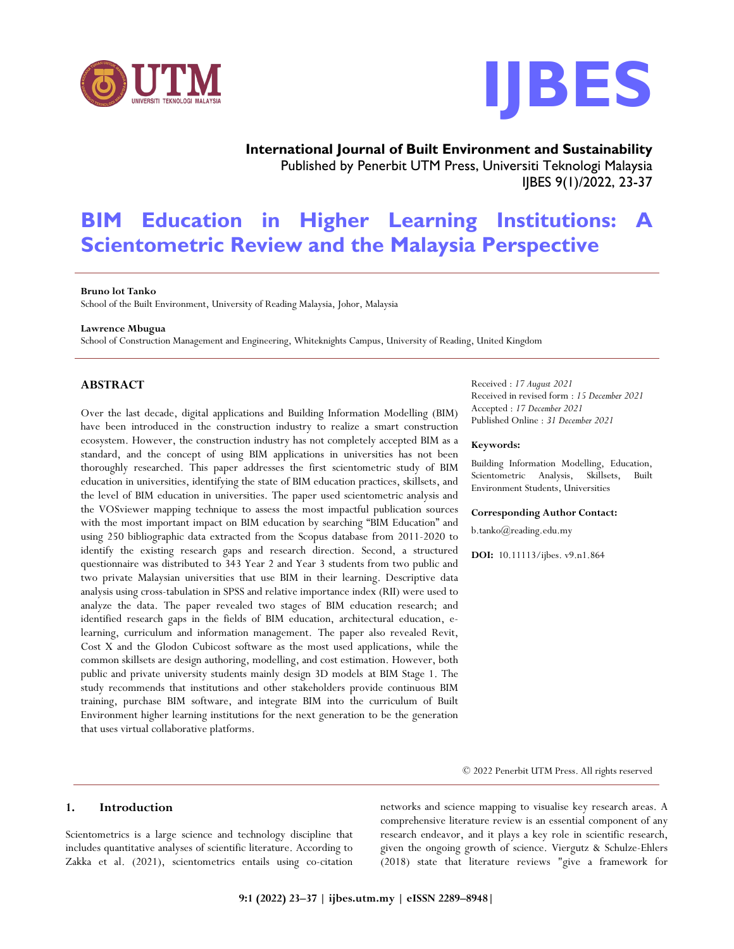



**International Journal of Built Environment and Sustainability** Published by Penerbit UTM Press, Universiti Teknologi Malaysia IJBES 9(1)/2022, 23-37

# **BIM Education in Higher Learning Institutions: A Scientometric Review and the Malaysia Perspective**

### **Bruno lot Tanko**

School of the Built Environment, University of Reading Malaysia, Johor, Malaysia

#### **Lawrence Mbugua**

School of Construction Management and Engineering, Whiteknights Campus, University of Reading, United Kingdom

# **ABSTRACT**

Over the last decade, digital applications and Building Information Modelling (BIM) have been introduced in the construction industry to realize a smart construction ecosystem. However, the construction industry has not completely accepted BIM as a standard, and the concept of using BIM applications in universities has not been thoroughly researched. This paper addresses the first scientometric study of BIM education in universities, identifying the state of BIM education practices, skillsets, and the level of BIM education in universities. The paper used scientometric analysis and the VOSviewer mapping technique to assess the most impactful publication sources with the most important impact on BIM education by searching "BIM Education" and using 250 bibliographic data extracted from the Scopus database from 2011-2020 to identify the existing research gaps and research direction. Second, a structured questionnaire was distributed to 343 Year 2 and Year 3 students from two public and two private Malaysian universities that use BIM in their learning. Descriptive data analysis using cross-tabulation in SPSS and relative importance index (RII) were used to analyze the data. The paper revealed two stages of BIM education research; and identified research gaps in the fields of BIM education, architectural education, elearning, curriculum and information management. The paper also revealed Revit, Cost X and the Glodon Cubicost software as the most used applications, while the common skillsets are design authoring, modelling, and cost estimation. However, both public and private university students mainly design 3D models at BIM Stage 1. The study recommends that institutions and other stakeholders provide continuous BIM training, purchase BIM software, and integrate BIM into the curriculum of Built Environment higher learning institutions for the next generation to be the generation that uses virtual collaborative platforms.

Received : *17 August 2021* Received in revised form : *15 December 2021* Accepted : *17 December 2021* Published Online : *31 December 2021*

#### **Keywords:**

Building Information Modelling, Education, Scientometric Analysis, Skillsets, Built Environment Students, Universities

#### **Corresponding Author Contact:**

b.tanko@reading.edu.my

**DOI:** 10.11113/ijbes. v9.n1.864

© 2022 Penerbit UTM Press. All rights reserved

## **1. Introduction**

Scientometrics is a large science and technology discipline that includes quantitative analyses of scientific literature. According to Zakka et al. (2021), scientometrics entails using co-citation

networks and science mapping to visualise key research areas. A comprehensive literature review is an essential component of any research endeavor, and it plays a key role in scientific research, given the ongoing growth of science. Viergutz & Schulze-Ehlers (2018) state that literature reviews "give a framework for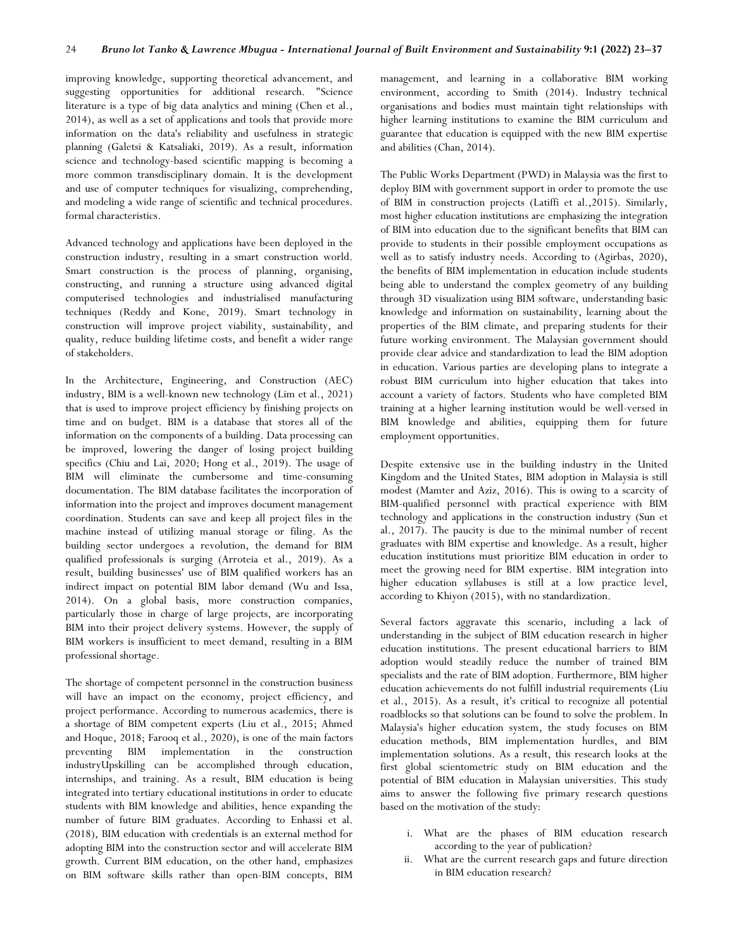improving knowledge, supporting theoretical advancement, and suggesting opportunities for additional research. "Science literature is a type of big data analytics and mining (Chen et al., 2014), as well as a set of applications and tools that provide more information on the data's reliability and usefulness in strategic planning (Galetsi & Katsaliaki, 2019). As a result, information science and technology-based scientific mapping is becoming a more common transdisciplinary domain. It is the development and use of computer techniques for visualizing, comprehending, and modeling a wide range of scientific and technical procedures. formal characteristics.

Advanced technology and applications have been deployed in the construction industry, resulting in a smart construction world. Smart construction is the process of planning, organising, constructing, and running a structure using advanced digital computerised technologies and industrialised manufacturing techniques (Reddy and Kone, 2019). Smart technology in construction will improve project viability, sustainability, and quality, reduce building lifetime costs, and benefit a wider range of stakeholders.

In the Architecture, Engineering, and Construction (AEC) industry, BIM is a well-known new technology (Lim et al., 2021) that is used to improve project efficiency by finishing projects on time and on budget. BIM is a database that stores all of the information on the components of a building. Data processing can be improved, lowering the danger of losing project building specifics (Chiu and Lai, 2020; Hong et al., 2019). The usage of BIM will eliminate the cumbersome and time-consuming documentation. The BIM database facilitates the incorporation of information into the project and improves document management coordination. Students can save and keep all project files in the machine instead of utilizing manual storage or filing. As the building sector undergoes a revolution, the demand for BIM qualified professionals is surging (Arroteia et al., 2019). As a result, building businesses' use of BIM qualified workers has an indirect impact on potential BIM labor demand (Wu and Issa, 2014). On a global basis, more construction companies, particularly those in charge of large projects, are incorporating BIM into their project delivery systems. However, the supply of BIM workers is insufficient to meet demand, resulting in a BIM professional shortage.

The shortage of competent personnel in the construction business will have an impact on the economy, project efficiency, and project performance. According to numerous academics, there is a shortage of BIM competent experts (Liu et al., 2015; Ahmed and Hoque, 2018; Farooq et al., 2020), is one of the main factors preventing BIM implementation in the construction industryUpskilling can be accomplished through education, internships, and training. As a result, BIM education is being integrated into tertiary educational institutions in order to educate students with BIM knowledge and abilities, hence expanding the number of future BIM graduates. According to Enhassi et al. (2018), BIM education with credentials is an external method for adopting BIM into the construction sector and will accelerate BIM growth. Current BIM education, on the other hand, emphasizes on BIM software skills rather than open-BIM concepts, BIM

management, and learning in a collaborative BIM working environment, according to Smith (2014). Industry technical organisations and bodies must maintain tight relationships with higher learning institutions to examine the BIM curriculum and guarantee that education is equipped with the new BIM expertise and abilities (Chan, 2014).

The Public Works Department (PWD) in Malaysia was the first to deploy BIM with government support in order to promote the use of BIM in construction projects (Latiffi et al.,2015). Similarly, most higher education institutions are emphasizing the integration of BIM into education due to the significant benefits that BIM can provide to students in their possible employment occupations as well as to satisfy industry needs. According to (Agirbas, 2020), the benefits of BIM implementation in education include students being able to understand the complex geometry of any building through 3D visualization using BIM software, understanding basic knowledge and information on sustainability, learning about the properties of the BIM climate, and preparing students for their future working environment. The Malaysian government should provide clear advice and standardization to lead the BIM adoption in education. Various parties are developing plans to integrate a robust BIM curriculum into higher education that takes into account a variety of factors. Students who have completed BIM training at a higher learning institution would be well-versed in BIM knowledge and abilities, equipping them for future employment opportunities.

Despite extensive use in the building industry in the United Kingdom and the United States, BIM adoption in Malaysia is still modest (Mamter and Aziz, 2016). This is owing to a scarcity of BIM-qualified personnel with practical experience with BIM technology and applications in the construction industry (Sun et al., 2017). The paucity is due to the minimal number of recent graduates with BIM expertise and knowledge. As a result, higher education institutions must prioritize BIM education in order to meet the growing need for BIM expertise. BIM integration into higher education syllabuses is still at a low practice level, according to Khiyon (2015), with no standardization.

Several factors aggravate this scenario, including a lack of understanding in the subject of BIM education research in higher education institutions. The present educational barriers to BIM adoption would steadily reduce the number of trained BIM specialists and the rate of BIM adoption. Furthermore, BIM higher education achievements do not fulfill industrial requirements (Liu et al., 2015). As a result, it's critical to recognize all potential roadblocks so that solutions can be found to solve the problem. In Malaysia's higher education system, the study focuses on BIM education methods, BIM implementation hurdles, and BIM implementation solutions. As a result, this research looks at the first global scientometric study on BIM education and the potential of BIM education in Malaysian universities. This study aims to answer the following five primary research questions based on the motivation of the study:

- i. What are the phases of BIM education research according to the year of publication?
- ii. What are the current research gaps and future direction in BIM education research?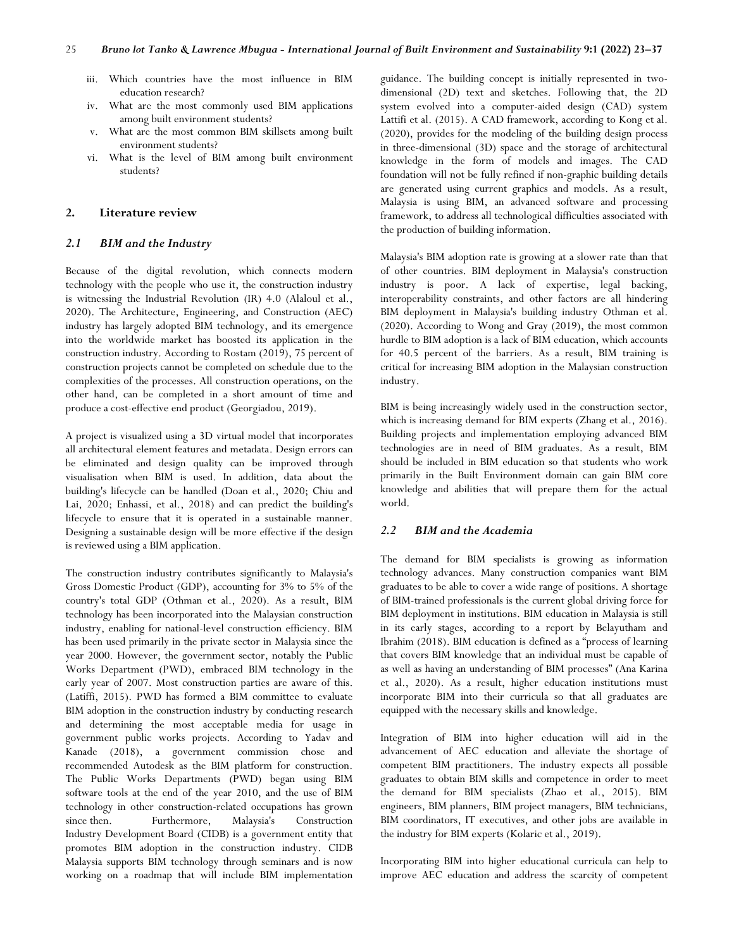- iii. Which countries have the most influence in BIM education research?
- iv. What are the most commonly used BIM applications among built environment students?
- v. What are the most common BIM skillsets among built environment students?
- vi. What is the level of BIM among built environment students?

# **2. Literature review**

## *2.1 BIM and the Industry*

Because of the digital revolution, which connects modern technology with the people who use it, the construction industry is witnessing the Industrial Revolution (IR) 4.0 (Alaloul et al., 2020). The Architecture, Engineering, and Construction (AEC) industry has largely adopted BIM technology, and its emergence into the worldwide market has boosted its application in the construction industry. According to Rostam (2019), 75 percent of construction projects cannot be completed on schedule due to the complexities of the processes. All construction operations, on the other hand, can be completed in a short amount of time and produce a cost-effective end product (Georgiadou, 2019).

A project is visualized using a 3D virtual model that incorporates all architectural element features and metadata. Design errors can be eliminated and design quality can be improved through visualisation when BIM is used. In addition, data about the building's lifecycle can be handled (Doan et al., 2020; Chiu and Lai, 2020; Enhassi, et al., 2018) and can predict the building's lifecycle to ensure that it is operated in a sustainable manner. Designing a sustainable design will be more effective if the design is reviewed using a BIM application.

The construction industry contributes significantly to Malaysia's Gross Domestic Product (GDP), accounting for 3% to 5% of the country's total GDP (Othman et al., 2020). As a result, BIM technology has been incorporated into the Malaysian construction industry, enabling for national-level construction efficiency. BIM has been used primarily in the private sector in Malaysia since the year 2000. However, the government sector, notably the Public Works Department (PWD), embraced BIM technology in the early year of 2007. Most construction parties are aware of this. (Latiffi, 2015). PWD has formed a BIM committee to evaluate BIM adoption in the construction industry by conducting research and determining the most acceptable media for usage in government public works projects. According to Yadav and Kanade (2018), a government commission chose and recommended Autodesk as the BIM platform for construction. The Public Works Departments (PWD) began using BIM software tools at the end of the year 2010, and the use of BIM technology in other construction-related occupations has grown since then. Furthermore, Malaysia's Construction Industry Development Board (CIDB) is a government entity that promotes BIM adoption in the construction industry. CIDB Malaysia supports BIM technology through seminars and is now working on a roadmap that will include BIM implementation

guidance. The building concept is initially represented in twodimensional (2D) text and sketches. Following that, the 2D system evolved into a computer-aided design (CAD) system Lattifi et al. (2015). A CAD framework, according to Kong et al. (2020), provides for the modeling of the building design process in three-dimensional (3D) space and the storage of architectural knowledge in the form of models and images. The CAD foundation will not be fully refined if non-graphic building details are generated using current graphics and models. As a result, Malaysia is using BIM, an advanced software and processing framework, to address all technological difficulties associated with the production of building information.

Malaysia's BIM adoption rate is growing at a slower rate than that of other countries. BIM deployment in Malaysia's construction industry is poor. A lack of expertise, legal backing, interoperability constraints, and other factors are all hindering BIM deployment in Malaysia's building industry Othman et al. (2020). According to Wong and Gray (2019), the most common hurdle to BIM adoption is a lack of BIM education, which accounts for 40.5 percent of the barriers. As a result, BIM training is critical for increasing BIM adoption in the Malaysian construction industry.

BIM is being increasingly widely used in the construction sector, which is increasing demand for BIM experts (Zhang et al., 2016). Building projects and implementation employing advanced BIM technologies are in need of BIM graduates. As a result, BIM should be included in BIM education so that students who work primarily in the Built Environment domain can gain BIM core knowledge and abilities that will prepare them for the actual world.

#### *2.2 BIM and the Academia*

The demand for BIM specialists is growing as information technology advances. Many construction companies want BIM graduates to be able to cover a wide range of positions. A shortage of BIM-trained professionals is the current global driving force for BIM deployment in institutions. BIM education in Malaysia is still in its early stages, according to a report by Belayutham and Ibrahim (2018). BIM education is defined as a "process of learning that covers BIM knowledge that an individual must be capable of as well as having an understanding of BIM processes" (Ana Karina et al., 2020). As a result, higher education institutions must incorporate BIM into their curricula so that all graduates are equipped with the necessary skills and knowledge.

Integration of BIM into higher education will aid in the advancement of AEC education and alleviate the shortage of competent BIM practitioners. The industry expects all possible graduates to obtain BIM skills and competence in order to meet the demand for BIM specialists (Zhao et al., 2015). BIM engineers, BIM planners, BIM project managers, BIM technicians, BIM coordinators, IT executives, and other jobs are available in the industry for BIM experts (Kolaric et al., 2019).

Incorporating BIM into higher educational curricula can help to improve AEC education and address the scarcity of competent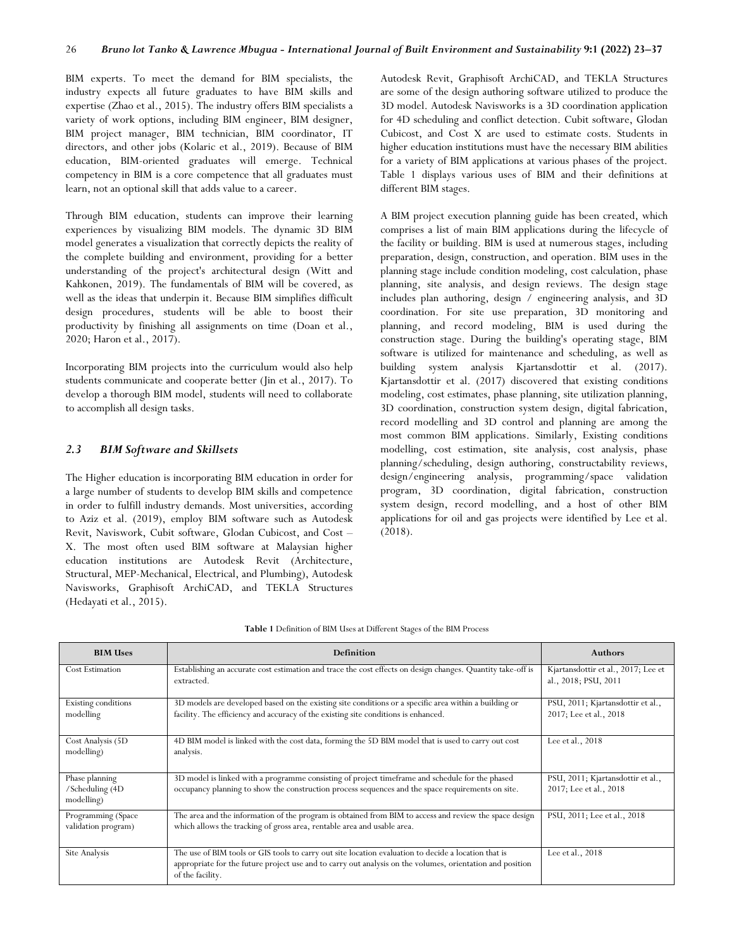BIM experts. To meet the demand for BIM specialists, the industry expects all future graduates to have BIM skills and expertise (Zhao et al., 2015). The industry offers BIM specialists a variety of work options, including BIM engineer, BIM designer, BIM project manager, BIM technician, BIM coordinator, IT directors, and other jobs (Kolaric et al., 2019). Because of BIM education, BIM-oriented graduates will emerge. Technical competency in BIM is a core competence that all graduates must learn, not an optional skill that adds value to a career.

Through BIM education, students can improve their learning experiences by visualizing BIM models. The dynamic 3D BIM model generates a visualization that correctly depicts the reality of the complete building and environment, providing for a better understanding of the project's architectural design (Witt and Kahkonen, 2019). The fundamentals of BIM will be covered, as well as the ideas that underpin it. Because BIM simplifies difficult design procedures, students will be able to boost their productivity by finishing all assignments on time (Doan et al., 2020; Haron et al., 2017).

Incorporating BIM projects into the curriculum would also help students communicate and cooperate better (Jin et al., 2017). To develop a thorough BIM model, students will need to collaborate to accomplish all design tasks.

#### *2.3 BIM Software and Skillsets*

The Higher education is incorporating BIM education in order for a large number of students to develop BIM skills and competence in order to fulfill industry demands. Most universities, according to Aziz et al. (2019), employ BIM software such as Autodesk Revit, Naviswork, Cubit software, Glodan Cubicost, and Cost – X. The most often used BIM software at Malaysian higher education institutions are Autodesk Revit (Architecture, Structural, MEP-Mechanical, Electrical, and Plumbing), Autodesk Navisworks, Graphisoft ArchiCAD, and TEKLA Structures (Hedayati et al., 2015).

Autodesk Revit, Graphisoft ArchiCAD, and TEKLA Structures are some of the design authoring software utilized to produce the 3D model. Autodesk Navisworks is a 3D coordination application for 4D scheduling and conflict detection. Cubit software, Glodan Cubicost, and Cost X are used to estimate costs. Students in higher education institutions must have the necessary BIM abilities for a variety of BIM applications at various phases of the project. Table 1 displays various uses of BIM and their definitions at different BIM stages.

A BIM project execution planning guide has been created, which comprises a list of main BIM applications during the lifecycle of the facility or building. BIM is used at numerous stages, including preparation, design, construction, and operation. BIM uses in the planning stage include condition modeling, cost calculation, phase planning, site analysis, and design reviews. The design stage includes plan authoring, design / engineering analysis, and 3D coordination. For site use preparation, 3D monitoring and planning, and record modeling, BIM is used during the construction stage. During the building's operating stage, BIM software is utilized for maintenance and scheduling, as well as building system analysis Kjartansdottir et al. (2017). Kjartansdottir et al. (2017) discovered that existing conditions modeling, cost estimates, phase planning, site utilization planning, 3D coordination, construction system design, digital fabrication, record modelling and 3D control and planning are among the most common BIM applications. Similarly, Existing conditions modelling, cost estimation, site analysis, cost analysis, phase planning/scheduling, design authoring, constructability reviews, design/engineering analysis, programming/space validation program, 3D coordination, digital fabrication, construction system design, record modelling, and a host of other BIM applications for oil and gas projects were identified by Lee et al. (2018).

| <b>BIM Uses</b>                                  | Definition                                                                                                                                                                                                                            | <b>Authors</b>                                              |
|--------------------------------------------------|---------------------------------------------------------------------------------------------------------------------------------------------------------------------------------------------------------------------------------------|-------------------------------------------------------------|
| <b>Cost Estimation</b>                           | Establishing an accurate cost estimation and trace the cost effects on design changes. Quantity take-off is<br>extracted.                                                                                                             | Kjartansdottir et al., 2017; Lee et<br>al., 2018; PSU, 2011 |
| Existing conditions<br>modelling                 | 3D models are developed based on the existing site conditions or a specific area within a building or<br>facility. The efficiency and accuracy of the existing site conditions is enhanced.                                           | PSU, 2011; Kjartansdottir et al.,<br>2017; Lee et al., 2018 |
| Cost Analysis (5D)<br>modelling)                 | 4D BIM model is linked with the cost data, forming the 5D BIM model that is used to carry out cost<br>analysis.                                                                                                                       | Lee et al., 2018                                            |
| Phase planning<br>/Scheduling (4D)<br>modelling) | 3D model is linked with a programme consisting of project timeframe and schedule for the phased<br>occupancy planning to show the construction process sequences and the space requirements on site.                                  | PSU, 2011; Kjartansdottir et al.,<br>2017; Lee et al., 2018 |
| Programming (Space<br>validation program)        | The area and the information of the program is obtained from BIM to access and review the space design<br>which allows the tracking of gross area, rentable area and usable area.                                                     | PSU, 2011; Lee et al., 2018                                 |
| Site Analysis                                    | The use of BIM tools or GIS tools to carry out site location evaluation to decide a location that is<br>appropriate for the future project use and to carry out analysis on the volumes, orientation and position<br>of the facility. | Lee et al., 2018                                            |

**Table 1** Definition of BIM Uses at Different Stages of the BIM Process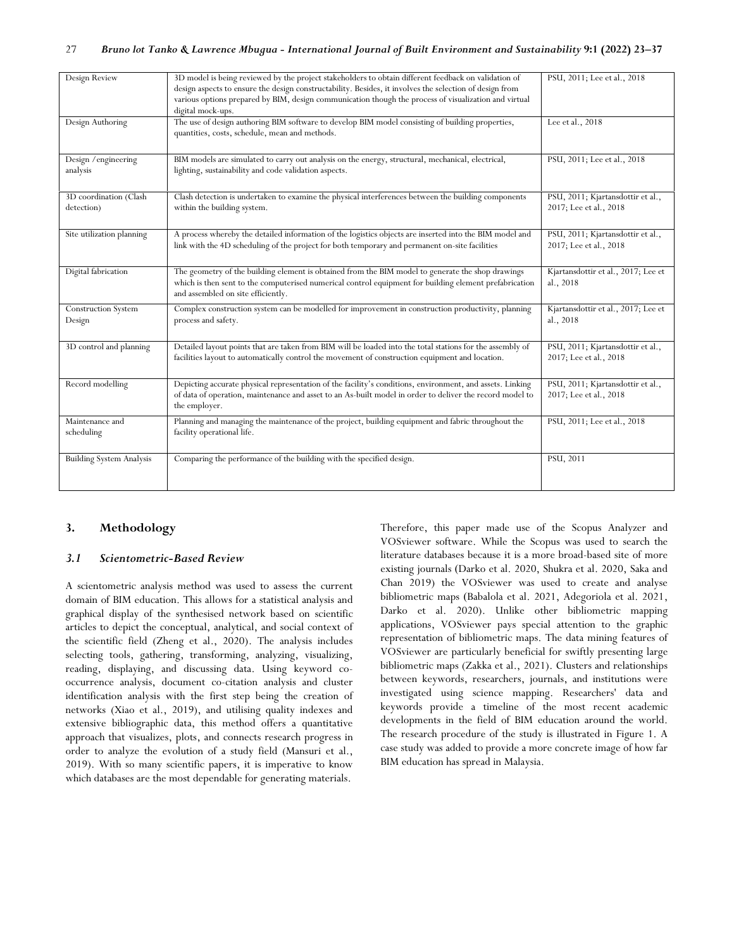| Design Review                        | 3D model is being reviewed by the project stakeholders to obtain different feedback on validation of<br>design aspects to ensure the design constructability. Besides, it involves the selection of design from<br>various options prepared by BIM, design communication though the process of visualization and virtual | PSU, 2011; Lee et al., 2018                                 |
|--------------------------------------|--------------------------------------------------------------------------------------------------------------------------------------------------------------------------------------------------------------------------------------------------------------------------------------------------------------------------|-------------------------------------------------------------|
|                                      | digital mock-ups.                                                                                                                                                                                                                                                                                                        |                                                             |
| Design Authoring                     | The use of design authoring BIM software to develop BIM model consisting of building properties,<br>quantities, costs, schedule, mean and methods.                                                                                                                                                                       | Lee et al., 2018                                            |
| Design / engineering                 | BIM models are simulated to carry out analysis on the energy, structural, mechanical, electrical,                                                                                                                                                                                                                        | PSU, 2011; Lee et al., 2018                                 |
| analysis                             | lighting, sustainability and code validation aspects.                                                                                                                                                                                                                                                                    |                                                             |
| 3D coordination (Clash               | Clash detection is undertaken to examine the physical interferences between the building components                                                                                                                                                                                                                      | PSU, 2011; Kjartansdottir et al.,                           |
| detection)                           | within the building system.                                                                                                                                                                                                                                                                                              | 2017; Lee et al., 2018                                      |
| Site utilization planning            | A process whereby the detailed information of the logistics objects are inserted into the BIM model and<br>link with the 4D scheduling of the project for both temporary and permanent on-site facilities                                                                                                                | PSU, 2011; Kjartansdottir et al.,<br>2017; Lee et al., 2018 |
| Digital fabrication                  | The geometry of the building element is obtained from the BIM model to generate the shop drawings<br>which is then sent to the computerised numerical control equipment for building element prefabrication<br>and assembled on site efficiently.                                                                        | Kjartansdottir et al., 2017; Lee et<br>al., 2018            |
| <b>Construction System</b><br>Design | Complex construction system can be modelled for improvement in construction productivity, planning<br>process and safety.                                                                                                                                                                                                | Kjartansdottir et al., 2017; Lee et<br>al., 2018            |
| 3D control and planning              | Detailed layout points that are taken from BIM will be loaded into the total stations for the assembly of<br>facilities layout to automatically control the movement of construction equipment and location.                                                                                                             | PSU, 2011; Kjartansdottir et al.,<br>2017; Lee et al., 2018 |
| Record modelling                     | Depicting accurate physical representation of the facility's conditions, environment, and assets. Linking<br>of data of operation, maintenance and asset to an As-built model in order to deliver the record model to<br>the employer.                                                                                   | PSU, 2011; Kjartansdottir et al.,<br>2017; Lee et al., 2018 |
| Maintenance and<br>scheduling        | Planning and managing the maintenance of the project, building equipment and fabric throughout the<br>facility operational life.                                                                                                                                                                                         | PSU, 2011; Lee et al., 2018                                 |
| <b>Building System Analysis</b>      | Comparing the performance of the building with the specified design.                                                                                                                                                                                                                                                     | PSU, 2011                                                   |

## **3. Methodology**

## *3.1 Scientometric-Based Review*

A scientometric analysis method was used to assess the current domain of BIM education. This allows for a statistical analysis and graphical display of the synthesised network based on scientific articles to depict the conceptual, analytical, and social context of the scientific field (Zheng et al., 2020). The analysis includes selecting tools, gathering, transforming, analyzing, visualizing, reading, displaying, and discussing data. Using keyword cooccurrence analysis, document co-citation analysis and cluster identification analysis with the first step being the creation of networks (Xiao et al., 2019), and utilising quality indexes and extensive bibliographic data, this method offers a quantitative approach that visualizes, plots, and connects research progress in order to analyze the evolution of a study field (Mansuri et al., 2019). With so many scientific papers, it is imperative to know which databases are the most dependable for generating materials.

Therefore, this paper made use of the Scopus Analyzer and VOSviewer software. While the Scopus was used to search the literature databases because it is a more broad-based site of more existing journals (Darko et al. 2020, Shukra et al. 2020, Saka and Chan 2019) the VOSviewer was used to create and analyse bibliometric maps (Babalola et al. 2021, Adegoriola et al. 2021, Darko et al. 2020). Unlike other bibliometric mapping applications, VOSviewer pays special attention to the graphic representation of bibliometric maps. The data mining features of VOSviewer are particularly beneficial for swiftly presenting large bibliometric maps (Zakka et al., 2021). Clusters and relationships between keywords, researchers, journals, and institutions were investigated using science mapping. Researchers' data and keywords provide a timeline of the most recent academic developments in the field of BIM education around the world. The research procedure of the study is illustrated in Figure 1. A case study was added to provide a more concrete image of how far BIM education has spread in Malaysia.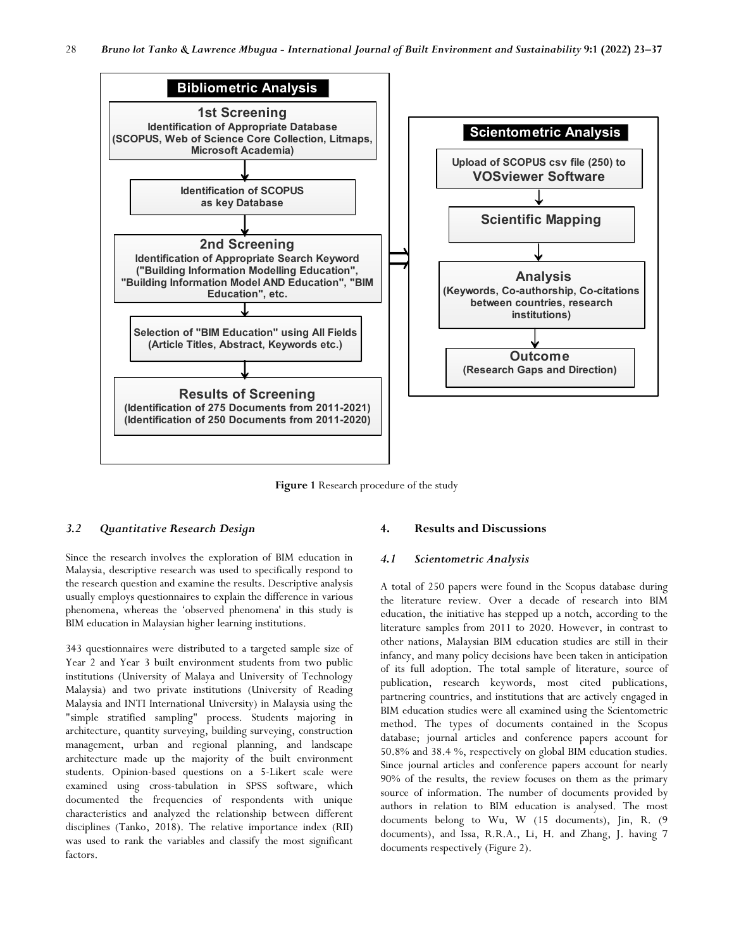

**Figure 1** Research procedure of the study

# *3.2 Quantitative Research Design*

Since the research involves the exploration of BIM education in Malaysia, descriptive research was used to specifically respond to the research question and examine the results. Descriptive analysis usually employs questionnaires to explain the difference in various phenomena, whereas the 'observed phenomena' in this study is BIM education in Malaysian higher learning institutions.

343 questionnaires were distributed to a targeted sample size of Year 2 and Year 3 built environment students from two public institutions (University of Malaya and University of Technology Malaysia) and two private institutions (University of Reading Malaysia and INTI International University) in Malaysia using the "simple stratified sampling" process. Students majoring in architecture, quantity surveying, building surveying, construction management, urban and regional planning, and landscape architecture made up the majority of the built environment students. Opinion-based questions on a 5-Likert scale were examined using cross-tabulation in SPSS software, which documented the frequencies of respondents with unique characteristics and analyzed the relationship between different disciplines (Tanko, 2018). The relative importance index (RII) was used to rank the variables and classify the most significant factors.

# **4. Results and Discussions**

# *4.1 Scientometric Analysis*

A total of 250 papers were found in the Scopus database during the literature review. Over a decade of research into BIM education, the initiative has stepped up a notch, according to the literature samples from 2011 to 2020. However, in contrast to other nations, Malaysian BIM education studies are still in their infancy, and many policy decisions have been taken in anticipation of its full adoption. The total sample of literature, source of publication, research keywords, most cited publications, partnering countries, and institutions that are actively engaged in BIM education studies were all examined using the Scientometric method. The types of documents contained in the Scopus database; journal articles and conference papers account for 50.8% and 38.4 %, respectively on global BIM education studies. Since journal articles and conference papers account for nearly 90% of the results, the review focuses on them as the primary source of information. The number of documents provided by authors in relation to BIM education is analysed. The most documents belong to Wu, W (15 documents), Jin, R. (9 documents), and Issa, R.R.A., Li, H. and Zhang, J. having 7 documents respectively (Figure 2).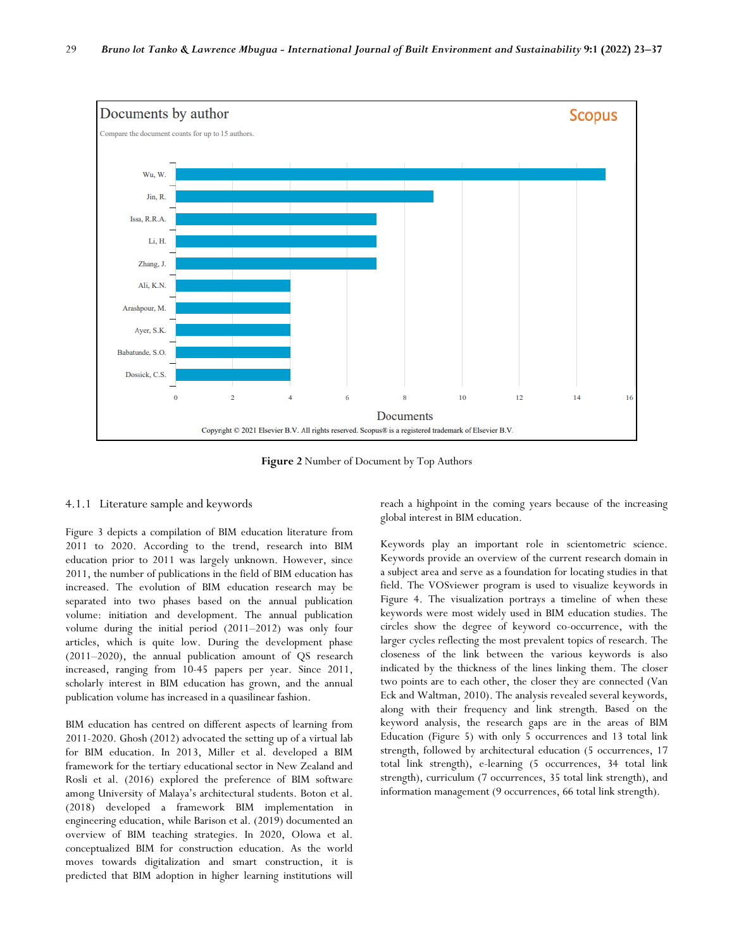

**Figure 2** Number of Document by Top Authors

## 4.1.1 Literature sample and keywords

Figure 3 depicts a compilation of BIM education literature from 2011 to 2020. According to the trend, research into BIM education prior to 2011 was largely unknown. However, since 2011, the number of publications in the field of BIM education has increased. The evolution of BIM education research may be separated into two phases based on the annual publication volume: initiation and development. The annual publication volume during the initial period (2011–2012) was only four articles, which is quite low. During the development phase (2011–2020), the annual publication amount of QS research increased, ranging from 10-45 papers per year. Since 2011, scholarly interest in BIM education has grown, and the annual publication volume has increased in a quasilinear fashion.

BIM education has centred on different aspects of learning from 2011-2020. Ghosh (2012) advocated the setting up of a virtual lab for BIM education. In 2013, Miller et al. developed a BIM framework for the tertiary educational sector in New Zealand and Rosli et al. (2016) explored the preference of BIM software among University of Malaya's architectural students. Boton et al. (2018) developed a framework BIM implementation in engineering education, while Barison et al. (2019) documented an overview of BIM teaching strategies. In 2020, Olowa et al. conceptualized BIM for construction education. As the world moves towards digitalization and smart construction, it is predicted that BIM adoption in higher learning institutions will

reach a highpoint in the coming years because of the increasing global interest in BIM education.

Keywords play an important role in scientometric science. Keywords provide an overview of the current research domain in a subject area and serve as a foundation for locating studies in that field. The VOSviewer program is used to visualize keywords in Figure 4. The visualization portrays a timeline of when these keywords were most widely used in BIM education studies. The circles show the degree of keyword co-occurrence, with the larger cycles reflecting the most prevalent topics of research. The closeness of the link between the various keywords is also indicated by the thickness of the lines linking them. The closer two points are to each other, the closer they are connected (Van Eck and Waltman, 2010). The analysis revealed several keywords, along with their frequency and link strength. Based on the keyword analysis, the research gaps are in the areas of BIM Education (Figure 5) with only 5 occurrences and 13 total link strength, followed by architectural education (5 occurrences, 17 total link strength), e-learning (5 occurrences, 34 total link strength), curriculum (7 occurrences, 35 total link strength), and information management (9 occurrences, 66 total link strength).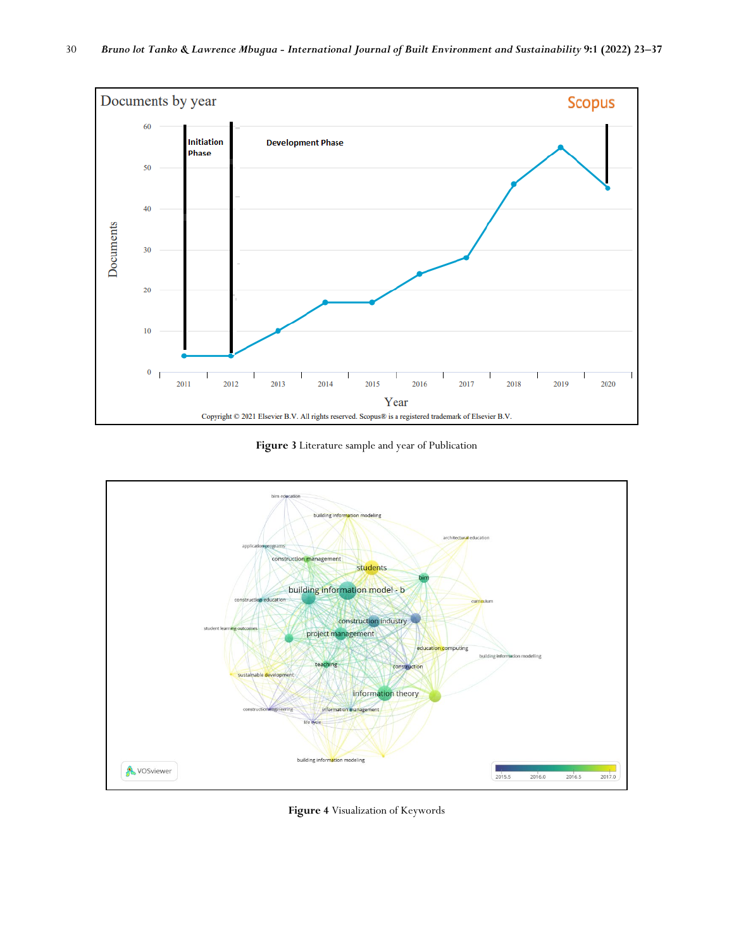

**Figure 3** Literature sample and year of Publication



**Figure 4** Visualization of Keywords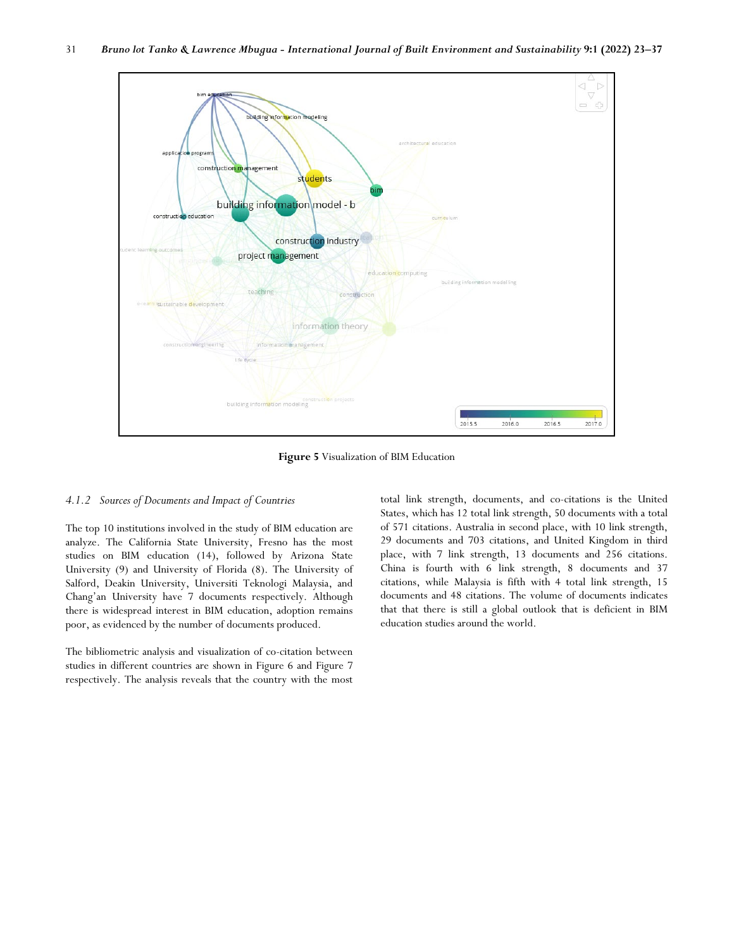

**Figure 5** Visualization of BIM Education

#### *4.1.2 Sources of Documents and Impact of Countries*

The top 10 institutions involved in the study of BIM education are analyze. The California State University, Fresno has the most studies on BIM education (14), followed by Arizona State University (9) and University of Florida (8). The University of Salford, Deakin University, Universiti Teknologi Malaysia, and Chang'an University have 7 documents respectively. Although there is widespread interest in BIM education, adoption remains poor, as evidenced by the number of documents produced.

The bibliometric analysis and visualization of co-citation between studies in different countries are shown in Figure 6 and Figure 7 respectively. The analysis reveals that the country with the most

total link strength, documents, and co-citations is the United States, which has 12 total link strength, 50 documents with a total of 571 citations. Australia in second place, with 10 link strength, 29 documents and 703 citations, and United Kingdom in third place, with 7 link strength, 13 documents and 256 citations. China is fourth with 6 link strength, 8 documents and 37 citations, while Malaysia is fifth with 4 total link strength, 15 documents and 48 citations. The volume of documents indicates that that there is still a global outlook that is deficient in BIM education studies around the world.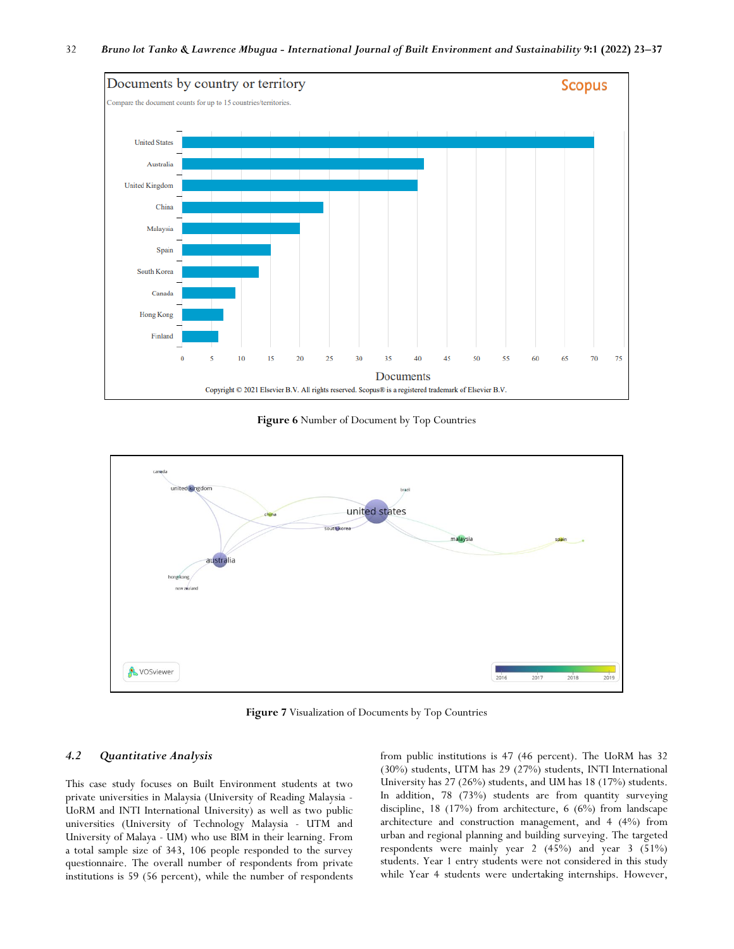

**Figure 6** Number of Document by Top Countries



**Figure 7** Visualization of Documents by Top Countries

## *4.2 Quantitative Analysis*

This case study focuses on Built Environment students at two private universities in Malaysia (University of Reading Malaysia - UoRM and INTI International University) as well as two public universities (University of Technology Malaysia - UTM and University of Malaya - UM) who use BIM in their learning. From a total sample size of 343, 106 people responded to the survey questionnaire. The overall number of respondents from private institutions is 59 (56 percent), while the number of respondents

from public institutions is 47 (46 percent). The UoRM has 32 (30%) students, UTM has 29 (27%) students, INTI International University has 27 (26%) students, and UM has 18 (17%) students. In addition, 78 (73%) students are from quantity surveying discipline, 18 (17%) from architecture, 6 (6%) from landscape architecture and construction management, and 4 (4%) from urban and regional planning and building surveying. The targeted respondents were mainly year 2 (45%) and year 3 (51%) students. Year 1 entry students were not considered in this study while Year 4 students were undertaking internships. However,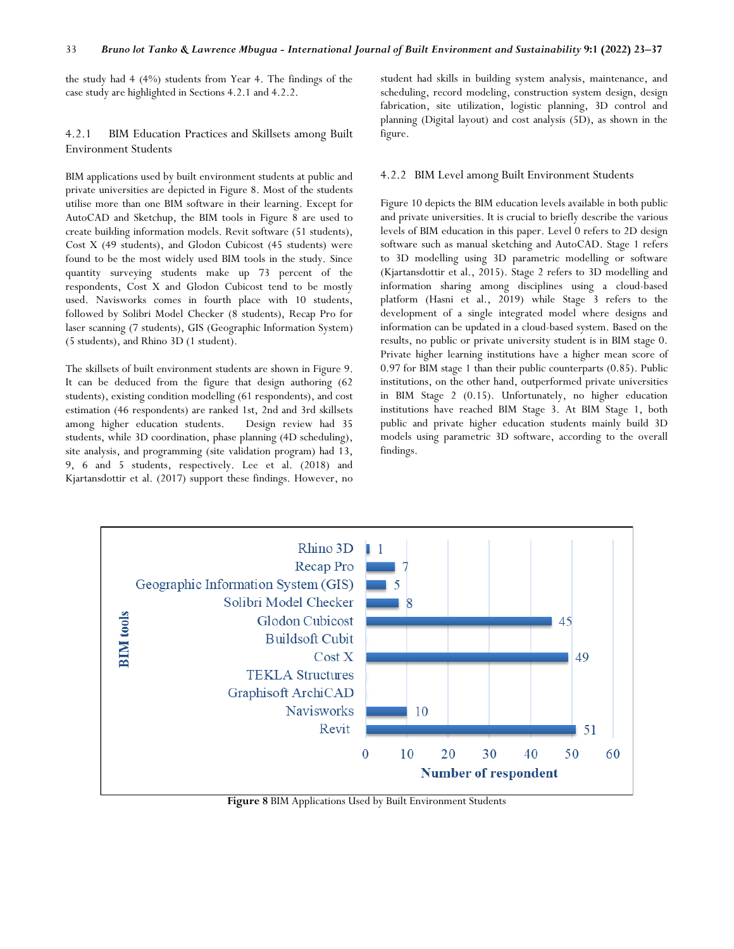the study had 4 (4%) students from Year 4. The findings of the case study are highlighted in Sections 4.2.1 and 4.2.2.

4.2.1 BIM Education Practices and Skillsets among Built Environment Students

BIM applications used by built environment students at public and private universities are depicted in Figure 8. Most of the students utilise more than one BIM software in their learning. Except for AutoCAD and Sketchup, the BIM tools in Figure 8 are used to create building information models. Revit software (51 students), Cost X (49 students), and Glodon Cubicost (45 students) were found to be the most widely used BIM tools in the study. Since quantity surveying students make up 73 percent of the respondents, Cost X and Glodon Cubicost tend to be mostly used. Navisworks comes in fourth place with 10 students, followed by Solibri Model Checker (8 students), Recap Pro for laser scanning (7 students), GIS (Geographic Information System) (5 students), and Rhino 3D (1 student).

The skillsets of built environment students are shown in Figure 9. It can be deduced from the figure that design authoring (62 students), existing condition modelling (61 respondents), and cost estimation (46 respondents) are ranked 1st, 2nd and 3rd skillsets among higher education students. Design review had 35 students, while 3D coordination, phase planning (4D scheduling), site analysis, and programming (site validation program) had 13, 9, 6 and 5 students, respectively. Lee et al. (2018) and Kjartansdottir et al. (2017) support these findings. However, no

student had skills in building system analysis, maintenance, and scheduling, record modeling, construction system design, design fabrication, site utilization, logistic planning, 3D control and planning (Digital layout) and cost analysis (5D), as shown in the figure.

#### 4.2.2 BIM Level among Built Environment Students

Figure 10 depicts the BIM education levels available in both public and private universities. It is crucial to briefly describe the various levels of BIM education in this paper. Level 0 refers to 2D design software such as manual sketching and AutoCAD. Stage 1 refers to 3D modelling using 3D parametric modelling or software (Kjartansdottir et al., 2015). Stage 2 refers to 3D modelling and information sharing among disciplines using a cloud-based platform (Hasni et al., 2019) while Stage 3 refers to the development of a single integrated model where designs and information can be updated in a cloud-based system. Based on the results, no public or private university student is in BIM stage 0. Private higher learning institutions have a higher mean score of 0.97 for BIM stage 1 than their public counterparts (0.85). Public institutions, on the other hand, outperformed private universities in BIM Stage 2 (0.15). Unfortunately, no higher education institutions have reached BIM Stage 3. At BIM Stage 1, both public and private higher education students mainly build 3D models using parametric 3D software, according to the overall findings.



**Figure 8** BIM Applications Used by Built Environment Students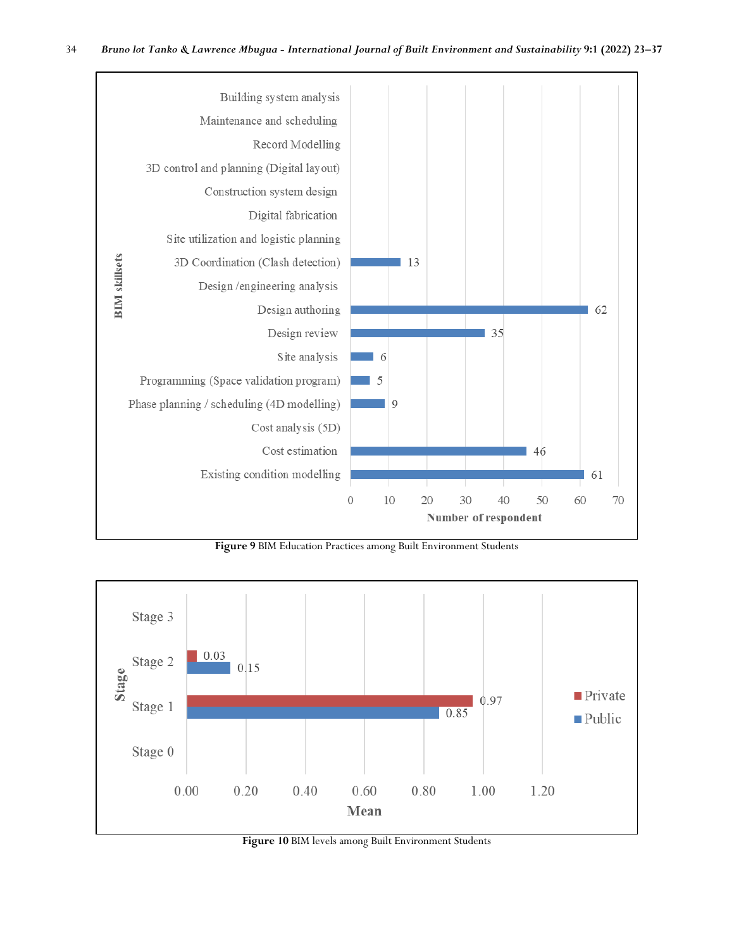

**Figure 9** BIM Education Practices among Built Environment Students



**Figure 10** BIM levels among Built Environment Students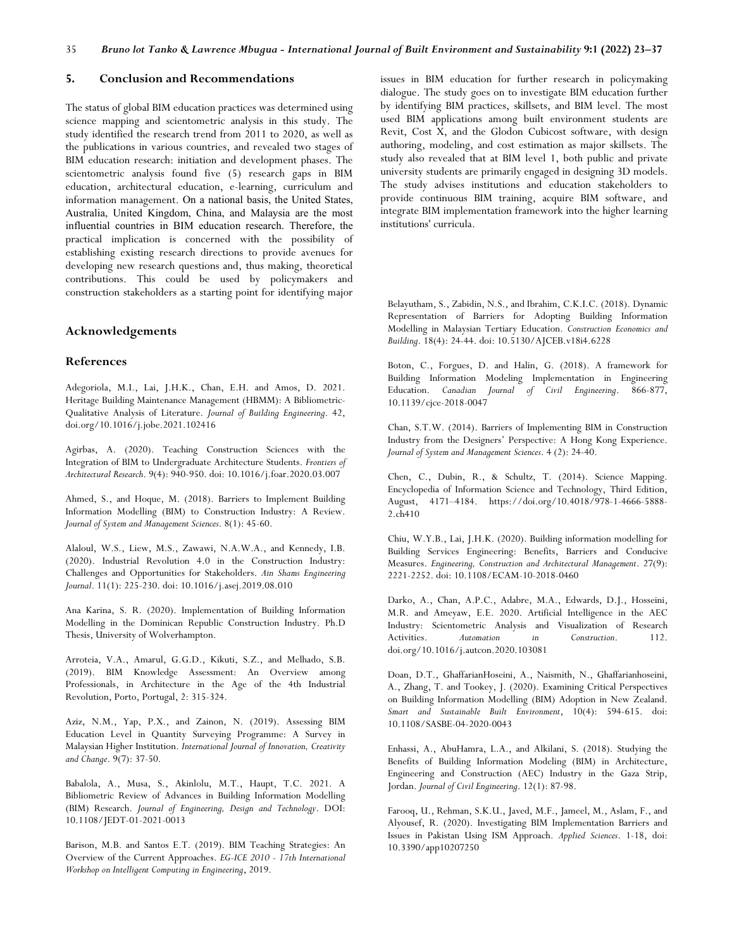#### **5. Conclusion and Recommendations**

The status of global BIM education practices was determined using science mapping and scientometric analysis in this study. The study identified the research trend from 2011 to 2020, as well as the publications in various countries, and revealed two stages of BIM education research: initiation and development phases. The scientometric analysis found five (5) research gaps in BIM education, architectural education, e-learning, curriculum and information management. On a national basis, the United States, Australia, United Kingdom, China, and Malaysia are the most influential countries in BIM education research. Therefore, the practical implication is concerned with the possibility of establishing existing research directions to provide avenues for developing new research questions and, thus making, theoretical contributions. This could be used by policymakers and construction stakeholders as a starting point for identifying major

#### **Acknowledgements**

#### **References**

Adegoriola, M.I., Lai, J.H.K., Chan, E.H. and Amos, D. 2021. Heritage Building Maintenance Management (HBMM): A Bibliometric-Qualitative Analysis of Literature. *Journal of Building Engineering*. 42, doi.org/10.1016/j.jobe.2021.102416

Agirbas, A. (2020). Teaching Construction Sciences with the Integration of BIM to Undergraduate Architecture Students. *Frontiers of Architectural Research*. 9(4): 940-950. doi: 10.1016/j.foar.2020.03.007

Ahmed, S., and Hoque, M. (2018). Barriers to Implement Building Information Modelling (BIM) to Construction Industry: A Review. *Journal of System and Management Sciences*. 8(1): 45-60.

Alaloul, W.S., Liew, M.S., Zawawi, N.A.W.A., and Kennedy, I.B. (2020). Industrial Revolution 4.0 in the Construction Industry: Challenges and Opportunities for Stakeholders. *Ain Shams Engineering Journal*. 11(1): 225-230. doi: 10.1016/j.asej.2019.08.010

Ana Karina, S. R. (2020). Implementation of Building Information Modelling in the Dominican Republic Construction Industry. Ph.D Thesis, University of Wolverhampton.

Arroteia, V.A., Amarul, G.G.D., Kikuti, S.Z., and Melhado, S.B. (2019). BIM Knowledge Assessment: An Overview among Professionals, in Architecture in the Age of the 4th Industrial Revolution, Porto, Portugal, 2: 315-324.

Aziz, N.M., Yap, P.X., and Zainon, N. (2019). Assessing BIM Education Level in Quantity Surveying Programme: A Survey in Malaysian Higher Institution. *International Journal of Innovation, Creativity and Change*. 9(7): 37-50.

Babalola, A., Musa, S., Akinlolu, M.T., Haupt, T.C. 2021. A Bibliometric Review of Advances in Building Information Modelling (BIM) Research. *Journal of Engineering, Design and Technology*. DOI: 10.1108/JEDT-01-2021-0013

Barison, M.B. and Santos E.T. (2019). BIM Teaching Strategies: An Overview of the Current Approaches. *EG-ICE 2010 - 17th International Workshop on Intelligent Computing in Engineering*, 2019.

issues in BIM education for further research in policymaking dialogue. The study goes on to investigate BIM education further by identifying BIM practices, skillsets, and BIM level. The most used BIM applications among built environment students are Revit, Cost X, and the Glodon Cubicost software, with design authoring, modeling, and cost estimation as major skillsets. The study also revealed that at BIM level 1, both public and private university students are primarily engaged in designing 3D models. The study advises institutions and education stakeholders to provide continuous BIM training, acquire BIM software, and integrate BIM implementation framework into the higher learning institutions' curricula.

Belayutham, S., Zabidin, N.S., and Ibrahim, C.K.I.C. (2018). Dynamic Representation of Barriers for Adopting Building Information Modelling in Malaysian Tertiary Education. *Construction Economics and Building*. 18(4): 24-44. doi: 10.5130/AJCEB.v18i4.6228

Boton, C., Forgues, D. and Halin, G. (2018). A framework for Building Information Modeling Implementation in Engineering Education. *Canadian Journal of Civil Engineering*. 866-877, 10.1139/cjce-2018-0047

Chan, S.T.W. (2014). Barriers of Implementing BIM in Construction Industry from the Designers' Perspective: A Hong Kong Experience. *Journal of System and Management Sciences*. 4 (2): 24-40.

Chen, C., Dubin, R., & Schultz, T. (2014). Science Mapping. Encyclopedia of Information Science and Technology, Third Edition, August, 4171–4184. https://doi.org/10.4018/978-1-4666-5888- 2.ch410

Chiu, W.Y.B., Lai, J.H.K. (2020). Building information modelling for Building Services Engineering: Benefits, Barriers and Conducive Measures. *Engineering, Construction and Architectural Management*. 27(9): 2221-2252. doi: 10.1108/ECAM-10-2018-0460

Darko, A., Chan, A.P.C., Adabre, M.A., Edwards, D.J., Hosseini, M.R. and Ameyaw, E.E. 2020. Artificial Intelligence in the AEC Industry: Scientometric Analysis and Visualization of Research Activities. *Automation in Construction*. 112. doi.org/10.1016/j.autcon.2020.103081

Doan, D.T., GhaffarianHoseini, A., Naismith, N., Ghaffarianhoseini, A., Zhang, T. and Tookey, J. (2020). Examining Critical Perspectives on Building Information Modelling (BIM) Adoption in New Zealand. *Smart and Sustainable Built Environment*, 10(4): 594-615. doi: 10.1108/SASBE-04-2020-0043

Enhassi, A., AbuHamra, L.A., and Alkilani, S. (2018). Studying the Benefits of Building Information Modeling (BIM) in Architecture, Engineering and Construction (AEC) Industry in the Gaza Strip, Jordan. *Journal of Civil Engineering*. 12(1): 87-98.

Farooq, U., Rehman, S.K.U., Javed, M.F., Jameel, M., Aslam, F., and Alyousef, R. (2020). Investigating BIM Implementation Barriers and Issues in Pakistan Using ISM Approach. *Applied Sciences*. 1-18, doi: 10.3390/app10207250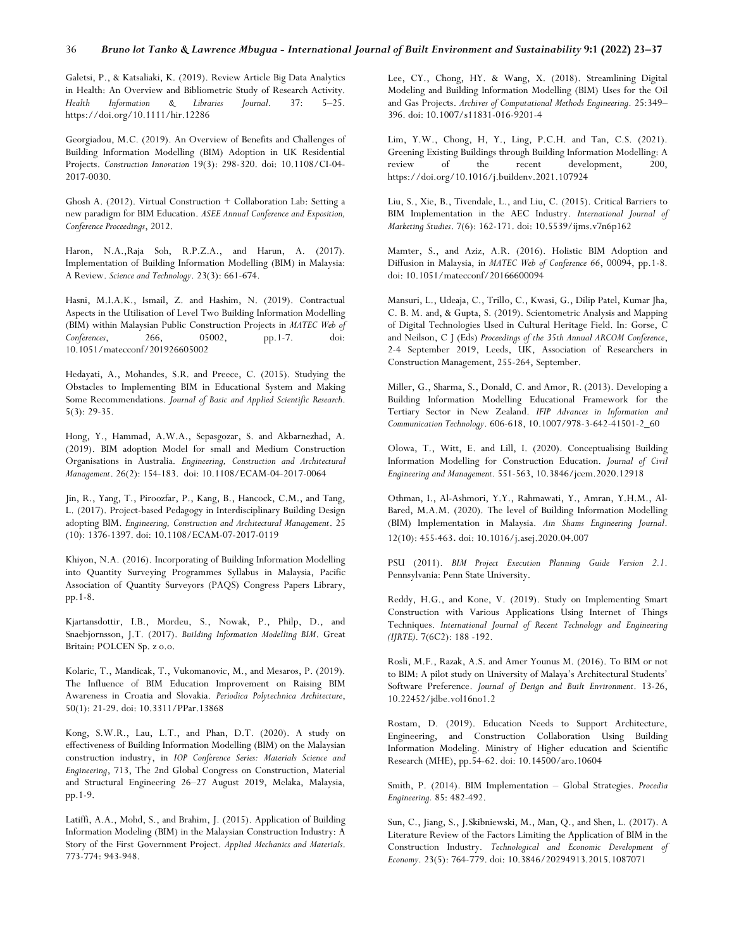Galetsi, P., & Katsaliaki, K. (2019). Review Article Big Data Analytics in Health: An Overview and Bibliometric Study of Research Activity. *Health Information & Libraries Journal*. 37: 5–25. https://doi.org/10.1111/hir.12286

Georgiadou, M.C. (2019). An Overview of Benefits and Challenges of Building Information Modelling (BIM) Adoption in UK Residential Projects. *Construction Innovation* 19(3): 298-320. doi: 10.1108/CI-04- 2017-0030.

Ghosh A. (2012). Virtual Construction + Collaboration Lab: Setting a new paradigm for BIM Education. *ASEE Annual Conference and Exposition, Conference Proceedings*, 2012.

Haron, N.A.,Raja Soh, R.P.Z.A., and Harun, A. (2017). Implementation of Building Information Modelling (BIM) in Malaysia: A Review. *Science and Technology*. 23(3): 661-674.

Hasni, M.I.A.K., Ismail, Z. and Hashim, N. (2019). Contractual Aspects in the Utilisation of Level Two Building Information Modelling (BIM) within Malaysian Public Construction Projects in *MATEC Web of Conferences*, 266, 05002, pp.1-7. doi: 10.1051/matecconf/201926605002

Hedayati, A., Mohandes, S.R. and Preece, C. (2015). Studying the Obstacles to Implementing BIM in Educational System and Making Some Recommendations. *Journal of Basic and Applied Scientific Research*. 5(3): 29-35.

Hong, Y., Hammad, A.W.A., Sepasgozar, S. and Akbarnezhad, A. (2019). BIM adoption Model for small and Medium Construction Organisations in Australia. *Engineering, Construction and Architectural Management*. 26(2): 154-183. doi: 10.1108/ECAM-04-2017-0064

Jin, R., Yang, T., Piroozfar, P., Kang, B., Hancock, C.M., and Tang, L. (2017). Project-based Pedagogy in Interdisciplinary Building Design adopting BIM. *Engineering, Construction and Architectural Management*. 25 (10): 1376-1397. doi: 10.1108/ECAM-07-2017-0119

Khiyon, N.A. (2016). Incorporating of Building Information Modelling into Quantity Surveying Programmes Syllabus in Malaysia, Pacific Association of Quantity Surveyors (PAQS) Congress Papers Library, pp.1-8.

Kjartansdottir, I.B., Mordeu, S., Nowak, P., Philp, D., and Snaebjornsson, J.T. (2017). *Building Information Modelling BIM*. Great Britain: POLCEN Sp. z o.o.

Kolaric, T., Mandicak, T., Vukomanovic, M., and Mesaros, P. (2019). The Influence of BIM Education Improvement on Raising BIM Awareness in Croatia and Slovakia. *Periodica Polytechnica Architecture*, 50(1): 21-29. doi: 10.3311/PPar.13868

Kong, S.W.R., Lau, L.T., and Phan, D.T. (2020). A study on effectiveness of Building Information Modelling (BIM) on the Malaysian construction industry, in *IOP Conference Series: Materials Science and Engineering*, 713, The 2nd Global Congress on Construction, Material and Structural Engineering 26–27 August 2019, Melaka, Malaysia, pp.1-9.

Latiffi, A.A., Mohd, S., and Brahim, J. (2015). Application of Building Information Modeling (BIM) in the Malaysian Construction Industry: A Story of the First Government Project. *Applied Mechanics and Materials*. 773-774: 943-948.

Lee, CY., Chong, HY. & Wang, X. (2018). Streamlining Digital Modeling and Building Information Modelling (BIM) Uses for the Oil and Gas Projects. *Archives of Computational Methods Engineering*. 25:349– 396. doi: 10.1007/s11831-016-9201-4

Lim, Y.W., Chong, H, Y., Ling, P.C.H. and Tan, C.S. (2021). Greening Existing Buildings through Building Information Modelling: A review of the recent development, 200, https://doi.org/10.1016/j.buildenv.2021.107924

Liu, S., Xie, B., Tivendale, L., and Liu, C. (2015). Critical Barriers to BIM Implementation in the AEC Industry. *International Journal of Marketing Studies*. 7(6): 162-171. doi: 10.5539/ijms.v7n6p162

Mamter, S., and Aziz, A.R. (2016). Holistic BIM Adoption and Diffusion in Malaysia, in *MATEC Web of Conference 66*, 00094, pp.1-8. doi: 10.1051/matecconf/20166600094

Mansuri, L., Udeaja, C., Trillo, C., Kwasi, G., Dilip Patel, Kumar Jha, C. B. M. and, & Gupta, S. (2019). Scientometric Analysis and Mapping of Digital Technologies Used in Cultural Heritage Field. In: Gorse, C and Neilson, C J (Eds) *Proceedings of the 35th Annual ARCOM Conference*, 2-4 September 2019, Leeds, UK, Association of Researchers in Construction Management, 255-264, September.

Miller, G., Sharma, S., Donald, C. and Amor, R. (2013). Developing a Building Information Modelling Educational Framework for the Tertiary Sector in New Zealand. *IFIP Advances in Information and Communication Technology*. 606-618, 10.1007/978-3-642-41501-2\_60

Olowa, T., Witt, E. and Lill, I. (2020). Conceptualising Building Information Modelling for Construction Education. *Journal of Civil Engineering and Management*. 551-563, 10.3846/jcem.2020.12918

Othman, I., Al-Ashmori, Y.Y., Rahmawati, Y., Amran, Y.H.M., Al-Bared, M.A.M. (2020). The level of Building Information Modelling (BIM) Implementation in Malaysia. *Ain Shams Engineering Journal*. 12(10): 455-463. doi: 10.1016/j.asej.2020.04.007

PSU (2011). *BIM Project Execution Planning Guide Version 2.1*. Pennsylvania: Penn State University.

Reddy, H.G., and Kone, V. (2019). Study on Implementing Smart Construction with Various Applications Using Internet of Things Techniques. *International Journal of Recent Technology and Engineering (IJRTE)*. 7(6C2): 188 -192.

Rosli, M.F., Razak, A.S. and Amer Younus M. (2016). To BIM or not to BIM: A pilot study on University of Malaya's Architectural Students' Software Preference. *Journal of Design and Built Environment*. 13-26, 10.22452/jdbe.vol16no1.2

Rostam, D. (2019). Education Needs to Support Architecture, Engineering, and Construction Collaboration Using Building Information Modeling. Ministry of Higher education and Scientific Research (MHE), pp.54-62. doi: 10.14500/aro.10604

Smith, P. (2014). BIM Implementation – Global Strategies. *Procedia Engineering.* 85: 482-492.

Sun, C., Jiang, S., J.Skibniewski, M., Man, Q., and Shen, L. (2017). A Literature Review of the Factors Limiting the Application of BIM in the Construction Industry. *Technological and Economic Development of Economy*. 23(5): 764-779. doi: 10.3846/20294913.2015.1087071